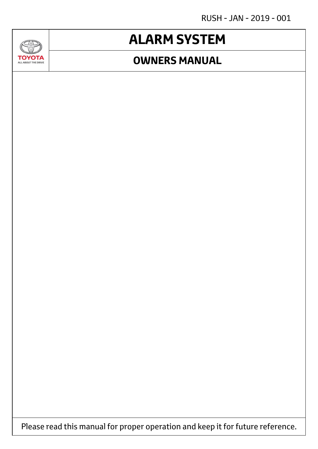RUSH - JAN - 2019 - 001

## **ALARM SYSTEM**

### **OWNERS MANUAL**



**GAD** 

Please read this manual for proper operation and keep it for future reference.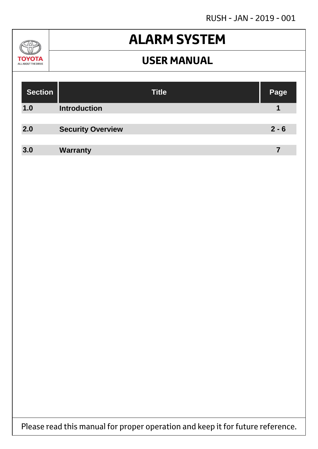RUSH - JAN - 2019 - 001

#### $\sqrt{2}$ **TOYOTA** ALL ABOUT THE DRIVE

## **ALARM SYSTEM**

### **USER MANUAL**

| <b>Title</b>        | Page                                        |
|---------------------|---------------------------------------------|
| <b>Introduction</b> |                                             |
|                     |                                             |
|                     | $2 - 6$                                     |
|                     | 7                                           |
|                     | <b>Security Overview</b><br><b>Warranty</b> |

Please read this manual for proper operation and keep it for future reference.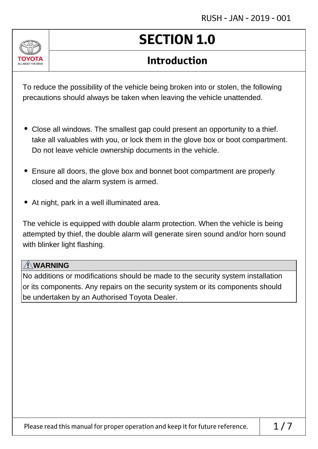

# **SECTION 1.0**

### **Introduction**

To reduce the possibility of the vehicle being broken into or stolen, the following precautions should always be taken when leaving the vehicle unattended.

- Close all windows. The smallest gap could present an opportunity to a thief. take all valuables with you, or lock them in the glove box or boot compartment. Do not leave vehicle ownership documents in the vehicle.
- Ensure all doors, the glove box and bonnet boot compartment are properly closed and the alarm system is armed.
- At night, park in a well illuminated area.

The vehicle is equipped with double alarm protection. When the vehicle is being attempted by thief, the double alarm will generate siren sound and/or horn sound with blinker light flashing.

#### **! WARNING**

No additions or modifications should be made to the security system installation or its components. Any repairs on the security system or its components should be undertaken by an Authorised Toyota Dealer.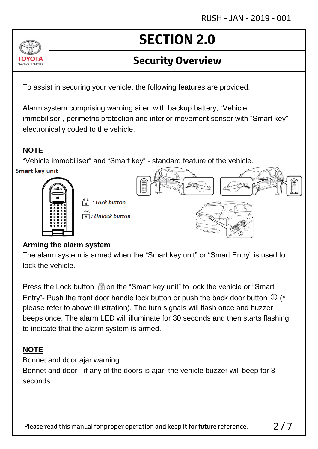### **Security Overview**

To assist in securing your vehicle, the following features are provided.

Alarm system comprising warning siren with backup battery, "Vehicle immobiliser", perimetric protection and interior movement sensor with "Smart key" electronically coded to the vehicle.

#### **NOTE**

ALL AROUT THE DRIV

"Vehicle immobiliser" and "Smart key" - standard feature of the vehicle. **Smart key unit** 





#### **Arming the alarm system**

The alarm system is armed when the "Smart key unit" or "Smart Entry" is used to lock the vehicle.

Press the Lock button  $\mathbb{G}$  on the "Smart key unit" to lock the vehicle or "Smart" Entry"- Push the front door handle lock button or push the back door button  $\mathbb D$  (\* please refer to above illustration). The turn signals will flash once and buzzer beeps once. The alarm LED will illuminate for 30 seconds and then starts flashing to indicate that the alarm system is armed.

#### **NOTE**

Bonnet and door ajar warning

Bonnet and door - if any of the doors is ajar, the vehicle buzzer will beep for 3 seconds.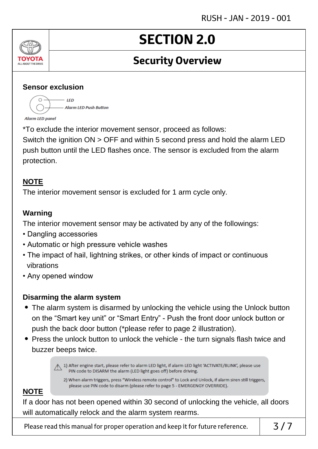### **Security Overview**

#### **Sensor exclusion**

 $\bigcap$ .  $-$  IFD - Alarm LED Push Button **Alarm LED panel** 

\*To exclude the interior movement sensor, proceed as follows:

Switch the ignition ON > OFF and within 5 second press and hold the alarm LED push button until the LED flashes once. The sensor is excluded from the alarm protection.

#### **NOTE**

ALL ABOUT THE DRIVE

The interior movement sensor is excluded for 1 arm cycle only.

#### **Warning**

The interior movement sensor may be activated by any of the followings:

- Dangling accessories
- Automatic or high pressure vehicle washes
- The impact of hail, lightning strikes, or other kinds of impact or continuous vibrations
- Any opened window

#### **Disarming the alarm system**

- The alarm system is disarmed by unlocking the vehicle using the Unlock button on the "Smart key unit" or "Smart Entry" - Push the front door unlock button or push the back door button (\*please refer to page 2 illustration).
- Press the unlock button to unlock the vehicle the turn signals flash twice and buzzer beeps twice.

A 1) After engine start, please refer to alarm LED light, if alarm LED light 'ACTIVATE/BLINK', please use PIN code to DISARM the alarm (LED light goes off) before driving.

2) When alarm triggers, press "Wireless remote control" to Lock and Unlock, if alarm siren still triggers, please use PIN code to disarm (please refer to page 5 - EMERGENGY OVERRIDE).

#### **NOTE**

If a door has not been opened within 30 second of unlocking the vehicle, all doors will automatically relock and the alarm system rearms.

Please read this manual for proper operation and keep it for future reference.  $\begin{array}{c} \n\end{array}$  3/7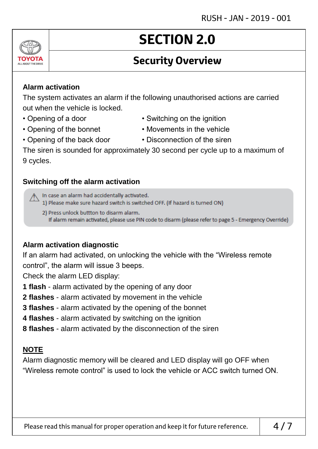### **Security Overview**

#### **Alarm activation**

The system activates an alarm if the following unauthorised actions are carried out when the vehicle is locked.

- 
- 
- Opening of a door Switching on the ignition
- Opening of the bonnet Movements in the vehicle
	-
- Opening of the back door Disconnection of the siren

The siren is sounded for approximately 30 second per cycle up to a maximum of 9 cycles.

#### **Switching off the alarm activation**

In case an alarm had accidentally activated.

1) Please make sure hazard switch is switched OFF. (If hazard is turned ON)

2) Press unlock buttton to disarm alarm. If alarm remain activated, please use PIN code to disarm (please refer to page 5 - Emergency Override)

#### **Alarm activation diagnostic**

If an alarm had activated, on unlocking the vehicle with the "Wireless remote control", the alarm will issue 3 beeps.

Check the alarm LED display:

- **1 flash** alarm activated by the opening of any door
- **2 flashes** alarm activated by movement in the vehicle
- **3 flashes** alarm activated by the opening of the bonnet
- **4 flashes** alarm activated by switching on the ignition
- **8 flashes** alarm activated by the disconnection of the siren

#### **NOTE**

Alarm diagnostic memory will be cleared and LED display will go OFF when "Wireless remote control" is used to lock the vehicle or ACC switch turned ON.

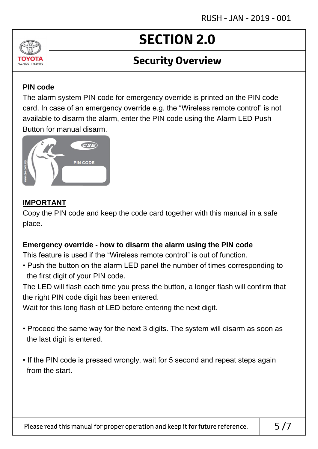### **Security Overview**

#### **PIN code**

ALL AROUT THE DRIV

The alarm system PIN code for emergency override is printed on the PIN code card. In case of an emergency override e.g. the "Wireless remote control" is not available to disarm the alarm, enter the PIN code using the Alarm LED Push Button for manual disarm.



#### **IMPORTANT**

Copy the PIN code and keep the code card together with this manual in a safe place.

#### **Emergency override - how to disarm the alarm using the PIN code**

This feature is used if the "Wireless remote control" is out of function.

• Push the button on the alarm LED panel the number of times corresponding to the first digit of your PIN code.

The LED will flash each time you press the button, a longer flash will confirm that the right PIN code digit has been entered.

Wait for this long flash of LED before entering the next digit.

- Proceed the same way for the next 3 digits. The system will disarm as soon as the last digit is entered.
- If the PIN code is pressed wrongly, wait for 5 second and repeat steps again from the start.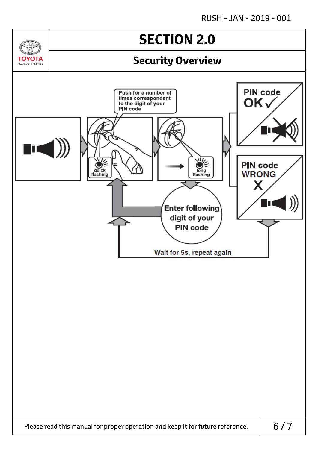$\sqrt{2}$ 

**TOYOTA** ALL AROUT THE DRIVE